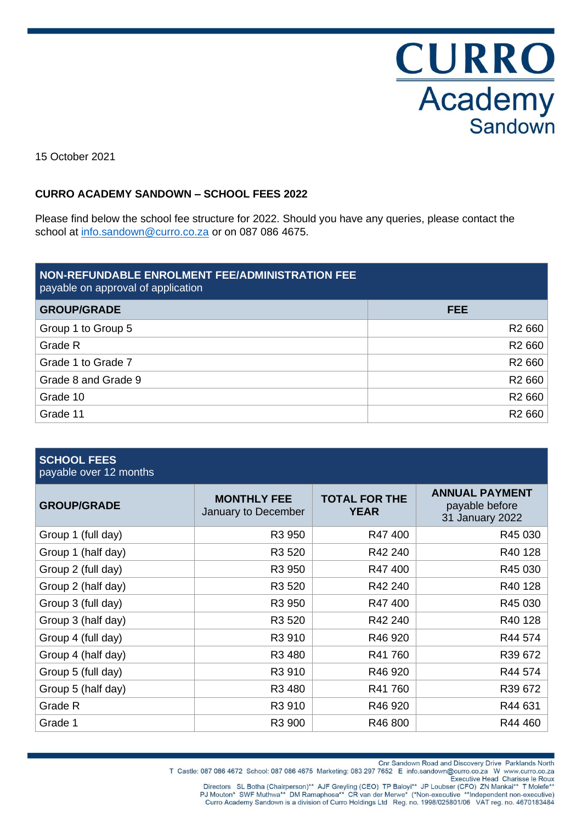**CURRO**<br>Academy<br>Sandown

15 October 2021

#### **CURRO ACADEMY SANDOWN – SCHOOL FEES 2022**

Please find below the school fee structure for 2022. Should you have any queries, please contact the school at [info.sandown@curro.co.za](mailto:info.sandown@curro.co.za) or on 087 086 4675.

| NON-REFUNDABLE ENROLMENT FEE/ADMINISTRATION FEE<br>payable on approval of application |                    |
|---------------------------------------------------------------------------------------|--------------------|
| <b>GROUP/GRADE</b>                                                                    | <b>FEE</b>         |
| Group 1 to Group 5                                                                    | R <sub>2</sub> 660 |
| Grade R                                                                               | R <sub>2</sub> 660 |
| Grade 1 to Grade 7                                                                    | R <sub>2</sub> 660 |
| Grade 8 and Grade 9                                                                   | R <sub>2</sub> 660 |
| Grade 10                                                                              | R <sub>2</sub> 660 |
| Grade 11                                                                              | R <sub>2</sub> 660 |

| <b>SCHOOL FEES</b><br>payable over 12 months |                                           |                                     |                                                            |
|----------------------------------------------|-------------------------------------------|-------------------------------------|------------------------------------------------------------|
| <b>GROUP/GRADE</b>                           | <b>MONTHLY FEE</b><br>January to December | <b>TOTAL FOR THE</b><br><b>YEAR</b> | <b>ANNUAL PAYMENT</b><br>payable before<br>31 January 2022 |
| Group 1 (full day)                           | R <sub>3</sub> 950                        | R47 400                             | R45 030                                                    |
| Group 1 (half day)                           | R3 520                                    | R42 240                             | R40 128                                                    |
| Group 2 (full day)                           | R3 950                                    | R47400                              | R45 030                                                    |
| Group 2 (half day)                           | R <sub>3</sub> 520                        | R42 240                             | R40 128                                                    |
| Group 3 (full day)                           | R3 950                                    | R47400                              | R45 030                                                    |
| Group 3 (half day)                           | R3 520                                    | R42 240                             | R40 128                                                    |
| Group 4 (full day)                           | R3 910                                    | R46 920                             | R44 574                                                    |
| Group 4 (half day)                           | R3 480                                    | R41 760                             | R39 672                                                    |
| Group 5 (full day)                           | R3 910                                    | R46 920                             | R44 574                                                    |
| Group 5 (half day)                           | R <sub>3</sub> 480                        | R41 760                             | R39 672                                                    |
| Grade R                                      | R3 910                                    | R46 920                             | R44 631                                                    |
| Grade 1                                      | R3 900                                    | R46 800                             | R44 460                                                    |

Directors SL Botha (Chairperson)\*\* AJF Greyling (CEO) TP Baloyi\*\* JP Loubser (CFO) ZN Mankai\*\* T Molefe\*\*<br>Directors SL Botha (Chairperson)\*\* AJF Greyling (CEO) TP Baloyi\*\* JP Loubser (CFO) ZN Mankai\*\* T Molefe\*\*<br>PJ Mouton\*

T Castle: 087 086 4672 School: 087 086 4675 Marketing: 083 297 7652 E info.sandown@curro.co.za W www.curro.co.za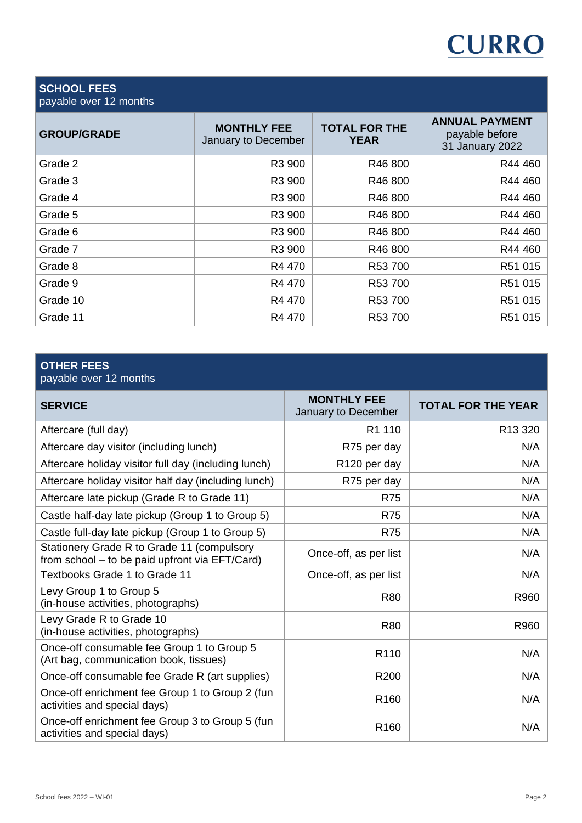

### **SCHOOL FEES** payable over 12 months

| <b>MONTHLY FEE</b><br>January to December | <b>TOTAL FOR THE</b><br><b>YEAR</b> | <b>ANNUAL PAYMENT</b><br>payable before<br>31 January 2022 |
|-------------------------------------------|-------------------------------------|------------------------------------------------------------|
| R3 900                                    | R46 800                             | R44 460                                                    |
| R3 900                                    | R46 800                             | R44 460                                                    |
| R3 900                                    | R46 800                             | R44 460                                                    |
| R3 900                                    | R46 800                             | R44 460                                                    |
| R3 900                                    | R46 800                             | R44 460                                                    |
| R3 900                                    | R46 800                             | R44 460                                                    |
| R4 470                                    | R53 700                             | R51 015                                                    |
| R4 470                                    | R53 700                             | R51 015                                                    |
| R4 470                                    | R53 700                             | R51 015                                                    |
| R4 470                                    | R53 700                             | R51 015                                                    |
|                                           |                                     |                                                            |

# **OTHER FEES**

payable over 12 months

| <b>SERVICE</b>                                                                               | <b>MONTHLY FEE</b><br>January to December | <b>TOTAL FOR THE YEAR</b> |
|----------------------------------------------------------------------------------------------|-------------------------------------------|---------------------------|
| Aftercare (full day)                                                                         | R <sub>1</sub> 110                        | R13 320                   |
| Aftercare day visitor (including lunch)                                                      | R75 per day                               | N/A                       |
| Aftercare holiday visitor full day (including lunch)                                         | R <sub>120</sub> per day                  | N/A                       |
| Aftercare holiday visitor half day (including lunch)                                         | R75 per day                               | N/A                       |
| Aftercare late pickup (Grade R to Grade 11)                                                  | R75                                       | N/A                       |
| Castle half-day late pickup (Group 1 to Group 5)                                             | <b>R75</b>                                | N/A                       |
| Castle full-day late pickup (Group 1 to Group 5)                                             | <b>R75</b>                                | N/A                       |
| Stationery Grade R to Grade 11 (compulsory<br>from school - to be paid upfront via EFT/Card) | Once-off, as per list                     | N/A                       |
| Textbooks Grade 1 to Grade 11                                                                | Once-off, as per list                     | N/A                       |
| Levy Group 1 to Group 5<br>(in-house activities, photographs)                                | <b>R80</b>                                | R960                      |
| Levy Grade R to Grade 10<br>(in-house activities, photographs)                               | <b>R80</b>                                | R960                      |
| Once-off consumable fee Group 1 to Group 5<br>(Art bag, communication book, tissues)         | R <sub>110</sub>                          | N/A                       |
| Once-off consumable fee Grade R (art supplies)                                               | R <sub>200</sub>                          | N/A                       |
| Once-off enrichment fee Group 1 to Group 2 (fun<br>activities and special days)              | R <sub>160</sub>                          | N/A                       |
| Once-off enrichment fee Group 3 to Group 5 (fun<br>activities and special days)              | R <sub>160</sub>                          | N/A                       |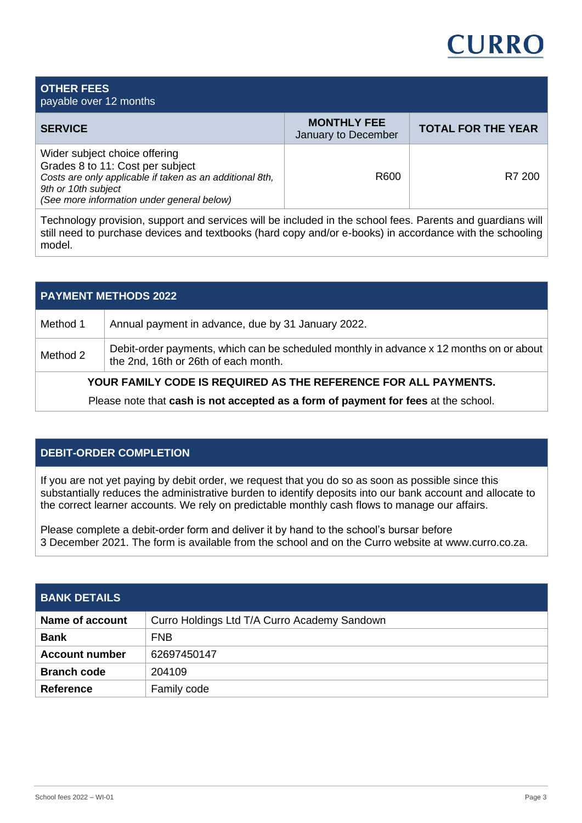

| <b>OTHER FEES</b><br>payable over 12 months                                                                                                                                                        |                                           |                           |
|----------------------------------------------------------------------------------------------------------------------------------------------------------------------------------------------------|-------------------------------------------|---------------------------|
| <b>SERVICE</b>                                                                                                                                                                                     | <b>MONTHLY FEE</b><br>January to December | <b>TOTAL FOR THE YEAR</b> |
| Wider subject choice offering<br>Grades 8 to 11: Cost per subject<br>Costs are only applicable if taken as an additional 8th,<br>9th or 10th subject<br>(See more information under general below) | R600                                      | R7 200                    |

Technology provision, support and services will be included in the school fees. Parents and guardians will still need to purchase devices and textbooks (hard copy and/or e-books) in accordance with the schooling model.

| <b>PAYMENT METHODS 2022</b> |                                                                                                                                 |  |  |
|-----------------------------|---------------------------------------------------------------------------------------------------------------------------------|--|--|
| Method 1                    | Annual payment in advance, due by 31 January 2022.                                                                              |  |  |
| Method 2                    | Debit-order payments, which can be scheduled monthly in advance x 12 months on or about<br>the 2nd, 16th or 26th of each month. |  |  |
|                             | YOUR FAMILY CODE IS REQUIRED AS THE REFERENCE FOR ALL PAYMENTS.                                                                 |  |  |
|                             | Please note that cash is not accepted as a form of payment for fees at the school.                                              |  |  |

### **DEBIT-ORDER COMPLETION**

If you are not yet paying by debit order, we request that you do so as soon as possible since this substantially reduces the administrative burden to identify deposits into our bank account and allocate to the correct learner accounts. We rely on predictable monthly cash flows to manage our affairs.

Please complete a debit-order form and deliver it by hand to the school's bursar before 3 December 2021. The form is available from the school and on the Curro website at www.curro.co.za.

| <b>BANK DETAILS</b>   |                                              |
|-----------------------|----------------------------------------------|
| Name of account       | Curro Holdings Ltd T/A Curro Academy Sandown |
| <b>Bank</b>           | <b>FNB</b>                                   |
| <b>Account number</b> | 62697450147                                  |
| <b>Branch code</b>    | 204109                                       |
| <b>Reference</b>      | Family code                                  |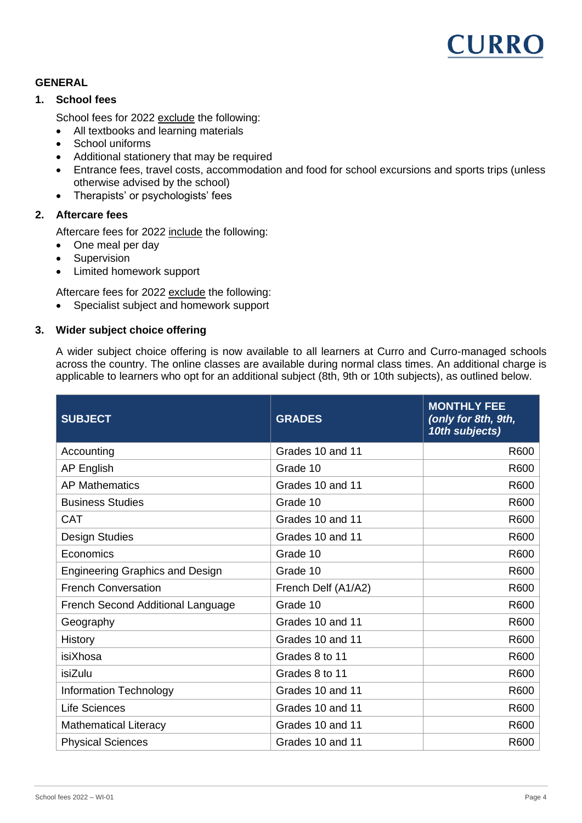

#### **GENERAL**

#### **1. School fees**

School fees for 2022 exclude the following:

- All textbooks and learning materials
- School uniforms
- Additional stationery that may be required
- Entrance fees, travel costs, accommodation and food for school excursions and sports trips (unless otherwise advised by the school)
- Therapists' or psychologists' fees

## **2. Aftercare fees**

Aftercare fees for 2022 include the following:

- One meal per day
- Supervision
- Limited homework support

Aftercare fees for 2022 exclude the following:

• Specialist subject and homework support

#### **3. Wider subject choice offering**

A wider subject choice offering is now available to all learners at Curro and Curro-managed schools across the country. The online classes are available during normal class times. An additional charge is applicable to learners who opt for an additional subject (8th, 9th or 10th subjects), as outlined below.

| <b>SUBJECT</b>                         | <b>GRADES</b>       | <b>MONTHLY FEE</b><br>(only for 8th, 9th,<br>10th subjects) |
|----------------------------------------|---------------------|-------------------------------------------------------------|
| Accounting                             | Grades 10 and 11    | R600                                                        |
| <b>AP English</b>                      | Grade 10            | R600                                                        |
| <b>AP Mathematics</b>                  | Grades 10 and 11    | R600                                                        |
| <b>Business Studies</b>                | Grade 10            | R600                                                        |
| <b>CAT</b>                             | Grades 10 and 11    | R600                                                        |
| <b>Design Studies</b>                  | Grades 10 and 11    | R600                                                        |
| Economics                              | Grade 10            | R600                                                        |
| <b>Engineering Graphics and Design</b> | Grade 10            | R600                                                        |
| <b>French Conversation</b>             | French Delf (A1/A2) | R600                                                        |
| French Second Additional Language      | Grade 10            | R600                                                        |
| Geography                              | Grades 10 and 11    | R600                                                        |
| <b>History</b>                         | Grades 10 and 11    | R600                                                        |
| isiXhosa                               | Grades 8 to 11      | R600                                                        |
| isiZulu                                | Grades 8 to 11      | R600                                                        |
| <b>Information Technology</b>          | Grades 10 and 11    | R600                                                        |
| <b>Life Sciences</b>                   | Grades 10 and 11    | R600                                                        |
| <b>Mathematical Literacy</b>           | Grades 10 and 11    | R600                                                        |
| <b>Physical Sciences</b>               | Grades 10 and 11    | R600                                                        |